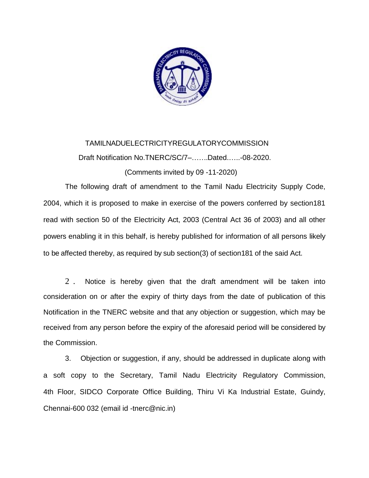

# TAMILNADUELECTRICITYREGULATORYCOMMISSION Draft Notification No.TNERC/SC/7–…….Dated.…..-08-2020. (Comments invited by 09 -11-2020)

The following draft of amendment to the Tamil Nadu Electricity Supply Code, 2004, which it is proposed to make in exercise of the powers conferred by section181 read with section 50 of the Electricity Act, 2003 (Central Act 36 of 2003) and all other powers enabling it in this behalf, is hereby published for information of all persons likely to be affected thereby, as required by sub section(3) of section181 of the said Act.

2 . Notice is hereby given that the draft amendment will be taken into consideration on or after the expiry of thirty days from the date of publication of this Notification in the TNERC website and that any objection or suggestion, which may be received from any person before the expiry of the aforesaid period will be considered by the Commission.

3. Objection or suggestion, if any, should be addressed in duplicate along with a soft copy to the Secretary, Tamil Nadu Electricity Regulatory Commission, 4th Floor, SIDCO Corporate Office Building, Thiru Vi Ka Industrial Estate, Guindy, Chennai-600 032 (email id -tnerc@nic.in)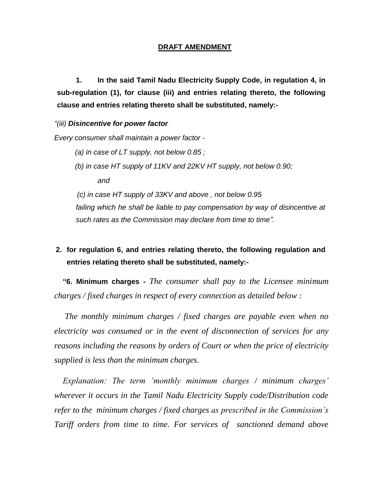#### **DRAFT AMENDMENT**

**1. In the said Tamil Nadu Electricity Supply Code, in regulation 4, in sub-regulation (1), for clause (iii) and entries relating thereto, the following clause and entries relating thereto shall be substituted, namely:-**

#### *"(iii) Disincentive for power factor*

*Every consumer shall maintain a power factor -*

- *(a) in case of LT supply, not below 0.85 ;*
- *(b) in case HT supply of 11KV and 22KV HT supply, not below 0.90; and*

 *(c) in case HT supply of 33KV and above , not below 0.95* failing which he shall be liable to pay compensation by way of disincentive at *such rates as the Commission may declare from time to time".*

## **2. for regulation 6, and entries relating thereto, the following regulation and entries relating thereto shall be substituted, namely:-**

**"6. Minimum charges -** *The consumer shall pay to the Licensee minimum charges / fixed charges in respect of every connection as detailed below :*

*The monthly minimum charges / fixed charges are payable even when no electricity was consumed or in the event of disconnection of services for any reasons including the reasons by orders of Court or when the price of electricity supplied is less than the minimum charges.*

*Explanation: The term 'monthly minimum charges / minimum charges' wherever it occurs in the Tamil Nadu Electricity Supply code/Distribution code refer to the minimum charges / fixed charges as prescribed in the Commission's Tariff orders from time to time. For services of sanctioned demand above*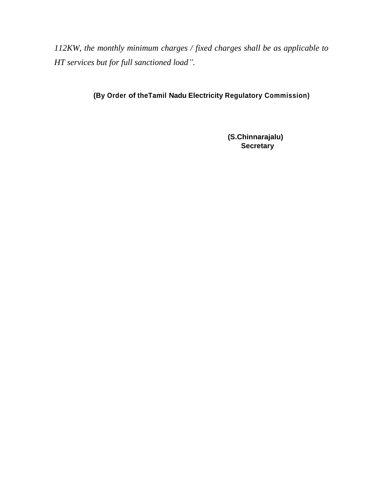*112KW, the monthly minimum charges / fixed charges shall be as applicable to HT services but for full sanctioned load".* 

### **(By Order of theTamil Nadu Electricity Regulatory Commission)**

**(S.Chinnarajalu) Secretary**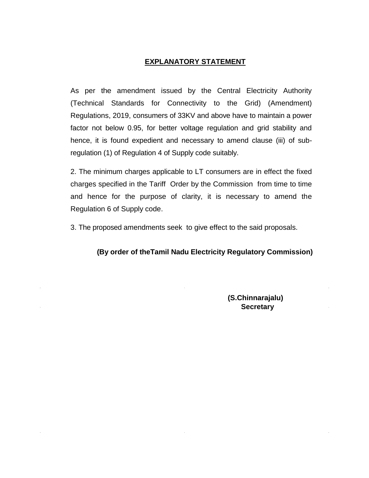### **EXPLANATORY STATEMENT**

As per the amendment issued by the Central Electricity Authority (Technical Standards for Connectivity to the Grid) (Amendment) Regulations, 2019, consumers of 33KV and above have to maintain a power factor not below 0.95, for better voltage regulation and grid stability and hence, it is found expedient and necessary to amend clause (iii) of subregulation (1) of Regulation 4 of Supply code suitably.

2. The minimum charges applicable to LT consumers are in effect the fixed charges specified in the Tariff Order by the Commission from time to time and hence for the purpose of clarity, it is necessary to amend the Regulation 6 of Supply code.

3. The proposed amendments seek to give effect to the said proposals.

### **(By order of theTamil Nadu Electricity Regulatory Commission)**

**(S.Chinnarajalu) Secretary**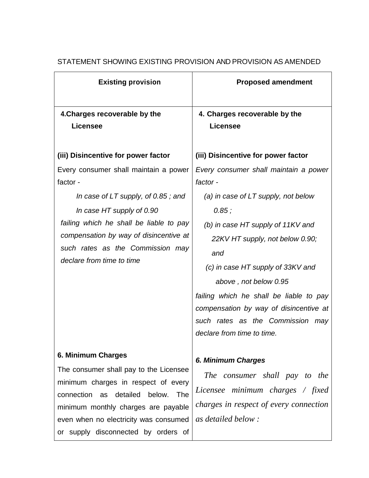| <b>Existing provision</b>                                                                                                                                                                                                                                                  | <b>Proposed amendment</b>                                                                                                                                                                                                                                                                                                                                                                                  |
|----------------------------------------------------------------------------------------------------------------------------------------------------------------------------------------------------------------------------------------------------------------------------|------------------------------------------------------------------------------------------------------------------------------------------------------------------------------------------------------------------------------------------------------------------------------------------------------------------------------------------------------------------------------------------------------------|
| 4. Charges recoverable by the<br><b>Licensee</b>                                                                                                                                                                                                                           | 4. Charges recoverable by the<br><b>Licensee</b>                                                                                                                                                                                                                                                                                                                                                           |
| (iii) Disincentive for power factor                                                                                                                                                                                                                                        | (iii) Disincentive for power factor                                                                                                                                                                                                                                                                                                                                                                        |
| Every consumer shall maintain a power<br>factor -<br>In case of LT supply, of 0.85; and<br>In case HT supply of 0.90<br>failing which he shall be liable to pay<br>compensation by way of disincentive at<br>such rates as the Commission may<br>declare from time to time | Every consumer shall maintain a power<br>factor -<br>(a) in case of $LT$ supply, not below<br>0.85:<br>(b) in case HT supply of 11KV and<br>22KV HT supply, not below 0.90;<br>and<br>(c) in case HT supply of 33KV and<br>above, not below 0.95<br>failing which he shall be liable to pay<br>compensation by way of disincentive at<br>such rates as the Commission<br>may<br>declare from time to time. |
| 6. Minimum Charges<br>The consumer shall pay to the Licensee<br>minimum charges in respect of every<br>connection as detailed<br>below.<br>The<br>minimum monthly charges are payable<br>even when no electricity was consumed<br>or supply disconnected by orders of      | <b>6. Minimum Charges</b><br>The consumer shall pay to the<br>Licensee minimum charges / fixed<br>charges in respect of every connection<br>as detailed below:                                                                                                                                                                                                                                             |

### STATEMENT SHOWING EXISTING PROVISION AND PROVISION AS AMENDED